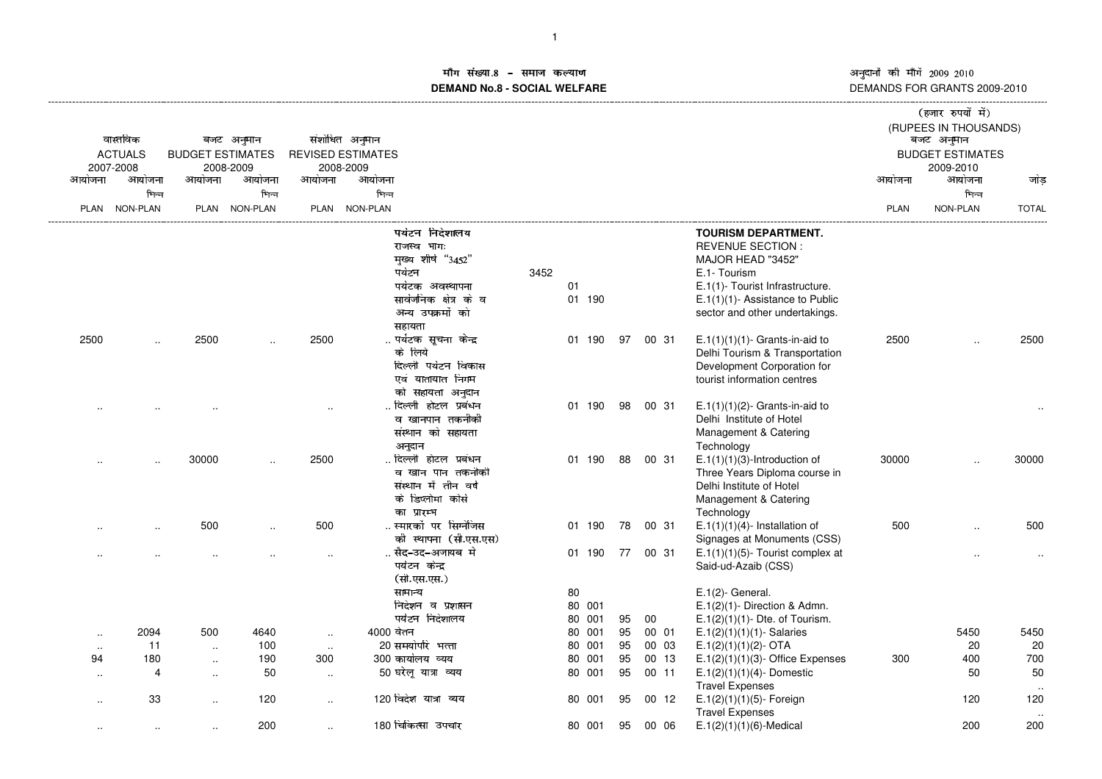## <mark>ॉग संख्या.8 – समाज कल्याण</mark> कराया कार्यक्रम कर कर कर कर कर अ माग सख्या.**8 – समाज कल्याण**<br>DEMAND No.8 - SOCIAL WELFARE

|                      |                      |                         |               |                      |                               |      |        |     |    |          |                                               |        | (हजार रुपयों में)<br>(RUPEES IN THOUSANDS) |              |
|----------------------|----------------------|-------------------------|---------------|----------------------|-------------------------------|------|--------|-----|----|----------|-----------------------------------------------|--------|--------------------------------------------|--------------|
|                      | वास्तविक             |                         | बजट अनुमान    |                      | संशोधित अनुमान                |      |        |     |    |          |                                               |        | बजट अनुमान                                 |              |
|                      | <b>ACTUALS</b>       | <b>BUDGET ESTIMATES</b> |               |                      | <b>REVISED ESTIMATES</b>      |      |        |     |    |          |                                               |        | <b>BUDGET ESTIMATES</b>                    |              |
|                      | 2007-2008            |                         | 2008-2009     |                      | 2008-2009                     |      |        |     |    |          |                                               |        | 2009-2010                                  |              |
| आयोजना               | आयोजना               | आयोजना                  | आयोजना        | आयोजना               | आयोजना                        |      |        |     |    |          |                                               | आयोजना | आयोजना                                     | जोड          |
|                      | भिन्न                |                         | भिन्न         |                      | भिन्न                         |      |        |     |    |          |                                               |        | भिन्न                                      |              |
|                      | PLAN NON-PLAN        |                         | PLAN NON-PLAN |                      | PLAN NON-PLAN                 |      |        |     |    |          |                                               | PLAN   | NON-PLAN                                   | <b>TOTAL</b> |
|                      |                      |                         |               |                      | पर्यटन निदेशालय               |      |        |     |    |          | <b>TOURISM DEPARTMENT.</b>                    |        |                                            |              |
|                      |                      |                         |               |                      | राजस्व भाग:                   |      |        |     |    |          | <b>REVENUE SECTION:</b>                       |        |                                            |              |
|                      |                      |                         |               |                      | मुख्य शीर्ष "3452"            |      |        |     |    |          | MAJOR HEAD "3452"                             |        |                                            |              |
|                      |                      |                         |               |                      | पर्यटन                        | 3452 |        |     |    |          | E.1- Tourism                                  |        |                                            |              |
|                      |                      |                         |               |                      | पर्यटक अवस्थापना              |      | 01     |     |    |          | E.1(1)- Tourist Infrastructure.               |        |                                            |              |
|                      |                      |                         |               |                      | सार्वजनिक क्षेत्र के व        |      | 01 190 |     |    |          | $E.1(1)(1)$ - Assistance to Public            |        |                                            |              |
|                      |                      |                         |               |                      | अन्य उपक्रमों को              |      |        |     |    |          | sector and other undertakings.                |        |                                            |              |
|                      |                      |                         |               |                      | सहायता                        |      |        |     |    |          |                                               |        |                                            |              |
| 2500                 |                      | 2500                    |               | 2500                 | पर्यटक सूचना केन्द्र          |      | 01 190 |     | 97 | 00 31    | $E.1(1)(1)(1)$ - Grants-in-aid to             | 2500   |                                            | 2500         |
|                      |                      |                         |               |                      | के लिये                       |      |        |     |    |          | Delhi Tourism & Transportation                |        |                                            |              |
|                      |                      |                         |               |                      | दिल्ली पर्यटन विकास           |      |        |     |    |          | Development Corporation for                   |        |                                            |              |
|                      |                      |                         |               |                      | एवं यातायात निगम              |      |        |     |    |          | tourist information centres                   |        |                                            |              |
|                      |                      |                         |               |                      | को सहायता अनुदान              |      |        |     |    |          |                                               |        |                                            |              |
|                      |                      |                         |               |                      | दिल्ली होटल प्रबंधन           |      | 01 190 |     | 98 | 00 31    | $E.1(1)(1)(2)$ - Grants-in-aid to             |        |                                            |              |
|                      |                      |                         |               |                      | व खानपान तकनीकी               |      |        |     |    |          | Delhi Institute of Hotel                      |        |                                            |              |
|                      |                      |                         |               |                      | संस्थान को सहायता             |      |        |     |    |          | Management & Catering                         |        |                                            |              |
|                      |                      | 30000                   |               | 2500                 | अनुदान<br>दिल्ली होटल प्रबंधन |      | 01 190 |     | 88 | 00 31    | Technology<br>$E.1(1)(1)(3)$ -Introduction of | 30000  |                                            | 30000        |
|                      | $\cdot$              |                         |               |                      | व खान पान तकनीकी              |      |        |     |    |          | Three Years Diploma course in                 |        |                                            |              |
|                      |                      |                         |               |                      | संस्थान में तीन वर्ष          |      |        |     |    |          | Delhi Institute of Hotel                      |        |                                            |              |
|                      |                      |                         |               |                      | के डिप्लोमा कोर्स             |      |        |     |    |          | Management & Catering                         |        |                                            |              |
|                      |                      |                         |               |                      | का प्रारम्भ                   |      |        |     |    |          | Technology                                    |        |                                            |              |
|                      | $\ddot{\phantom{a}}$ | 500                     |               | 500                  | स्मारकों पर सिग्नेजिस         |      | 01     | 190 | 78 | 00 31    | $E.1(1)(1)(4)$ - Installation of              | 500    |                                            | 500          |
|                      |                      |                         |               |                      | को स्थापना (सी.एस.एस)         |      |        |     |    |          | Signages at Monuments (CSS)                   |        |                                            |              |
|                      |                      |                         |               | $\ddot{\phantom{a}}$ | सैद-उद-अजायब मे               |      | 01 190 |     |    | 77 00 31 | $E.1(1)(1)(5)$ - Tourist complex at           |        |                                            | $\sim$       |
|                      |                      |                         |               |                      | पर्यटन केन्द्र                |      |        |     |    |          | Said-ud-Azaib (CSS)                           |        |                                            |              |
|                      |                      |                         |               |                      | (सी.एस.एस.)                   |      |        |     |    |          |                                               |        |                                            |              |
|                      |                      |                         |               |                      | सामान्य                       |      | 80     |     |    |          | $E.1(2)$ - General.                           |        |                                            |              |
|                      |                      |                         |               |                      | निदेशन व प्रशासन              |      | 80 001 |     |    |          | $E.1(2)(1)$ - Direction & Admn.               |        |                                            |              |
|                      |                      |                         |               |                      | पर्यटन निदेशालय               |      | 80     | 001 | 95 | 00       | $E.1(2)(1)(1)$ - Dte. of Tourism.             |        |                                            |              |
| $\ddotsc$            | 2094                 | 500                     | 4640          | $\ddotsc$            | 4000 बेतन                     |      | 80     | 001 | 95 | 00 01    | $E.1(2)(1)(1)(1)$ - Salaries                  |        | 5450                                       | 5450         |
| $\ldots$             | 11                   | $\sim$                  | 100           | $\cdot$ .            | 20 समयोपरि भत्ता              |      | 80     | 001 | 95 | 00 03    | $E.1(2)(1)(1)(2)$ - OTA                       |        | 20                                         | 20           |
| 94                   | 180                  | $\sim$                  | 190           | 300                  | 300 कार्यालय व्यय             |      | 80     | 001 | 95 | 00 13    | $E.1(2)(1)(1)(3)$ - Office Expenses           | 300    | 400                                        | 700          |
| $\ddot{\phantom{a}}$ | 4                    | $\sim$                  | 50            | $\ddotsc$            | 50 घरेलू यात्रा व्यय          |      | 80 001 |     | 95 | 00 11    | $E.1(2)(1)(1)(4)$ - Domestic                  |        | 50                                         | 50           |
|                      |                      |                         |               |                      |                               |      |        |     |    |          | <b>Travel Expenses</b>                        |        |                                            |              |
| ٠.                   | 33                   | $\ddotsc$               | 120           | $\cdot$ .            | 120 विदेश यात्रा व्यय         |      | 80 001 |     | 95 | 0012     | $E.1(2)(1)(1)(5)$ - Foreign                   |        | 120                                        | 120          |
|                      |                      |                         |               |                      |                               |      |        |     |    |          | <b>Travel Expenses</b>                        |        |                                            |              |
| $\ddotsc$            | $\cdot$ .            | $\ddotsc$               | 200           | $\ddotsc$            | 180 चिकित्सा उपचार            |      | 80 001 |     | 95 | 00 06    | $E.1(2)(1)(1)(6)$ -Medical                    |        | 200                                        | 200          |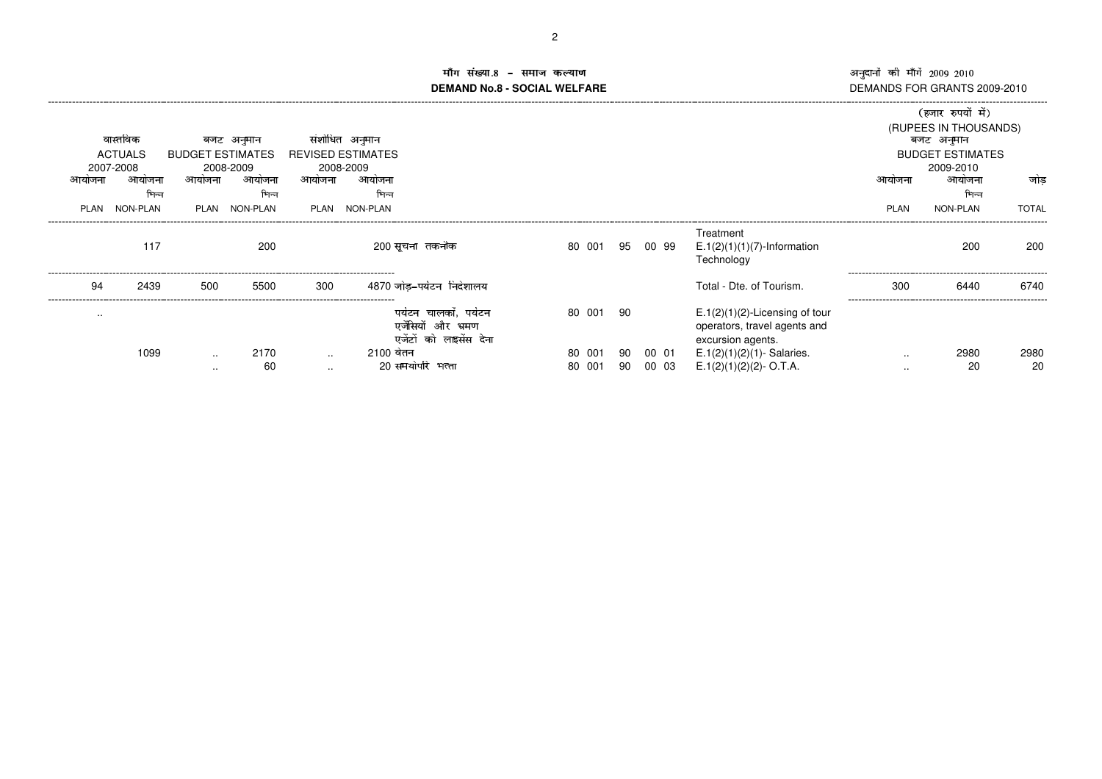## ा संख्या \_ मांग सख्या.8 – समाज कल्याण<br>DEMAND No.8 - SOCIAL WELFARE DI

|               |                     |                         |                     |               |                                                                        |                 |    |       |                                                                                        |               | (हजार रुपयों में)                   |              |
|---------------|---------------------|-------------------------|---------------------|---------------|------------------------------------------------------------------------|-----------------|----|-------|----------------------------------------------------------------------------------------|---------------|-------------------------------------|--------------|
|               | वास्तविक            |                         | बजट अनुमान          |               | संशोधित अनुमान                                                         |                 |    |       |                                                                                        |               | (RUPEES IN THOUSANDS)<br>बजट अनुमान |              |
|               | <b>ACTUALS</b>      | <b>BUDGET ESTIMATES</b> |                     |               | <b>REVISED ESTIMATES</b>                                               |                 |    |       |                                                                                        |               | <b>BUDGET ESTIMATES</b>             |              |
| आयजन          | 2007-2008<br>आयोजना | आयोजना                  | 2008-2009<br>आयोजना | आयोजना        | 2008-2009<br>आयोजना                                                    |                 |    |       |                                                                                        | आयोजना        | 2009-2010<br>आयोजना                 | जोड          |
|               | भिन्न               |                         | भिन्न               |               | भिन्न                                                                  |                 |    |       |                                                                                        |               | भिन्न                               |              |
| PLAN          | NON-PLAN            | PI AN                   | NON-PLAN            | PLAN          | NON-PLAN                                                               |                 |    |       |                                                                                        | <b>PLAN</b>   | NON-PLAN                            | <b>TOTAL</b> |
|               | 117                 |                         | 200                 |               | 200 सूचना तकनीक                                                        | 80 001 95 00 99 |    |       | Treatment<br>$E.1(2)(1)(1)(7)$ -Information                                            |               | 200                                 | 200          |
|               |                     |                         |                     |               |                                                                        |                 |    |       | Technology                                                                             |               |                                     |              |
| 94            | 2439                | 500                     | 5500                | 300           | 4870 जोड-पर्यटन निदेशालय                                               |                 |    |       | Total - Dte. of Tourism.                                                               | 300           | 6440                                | 6740         |
| $\sim$ $\sim$ |                     |                         |                     |               | पर्यटन चालकों. पर्यटन<br>एजेंसियों और भ्रमण<br>एजेंटों को लाइसेंस देना | 80 001          | 90 |       | $E.1(2)(1)(2)$ -Licensing of tour<br>operators, travel agents and<br>excursion agents. |               |                                     |              |
|               | 1099                | $\sim$ $\sim$           | 2170                | $\sim$        | 2100 वेतन                                                              | 80 001          | 90 | 00 01 | $E.1(2)(1)(2)(1)$ - Salaries.                                                          | $\sim$ $\sim$ | 2980                                | 2980         |
|               |                     | $\cdots$                | 60                  | $\sim$ $\sim$ | 20 समयोपरि भत्ता                                                       | 80<br>001       | 90 | 00 03 | $E.1(2)(1)(2)(2) - O.T.A.$                                                             | $\cdots$      | 20                                  | 20           |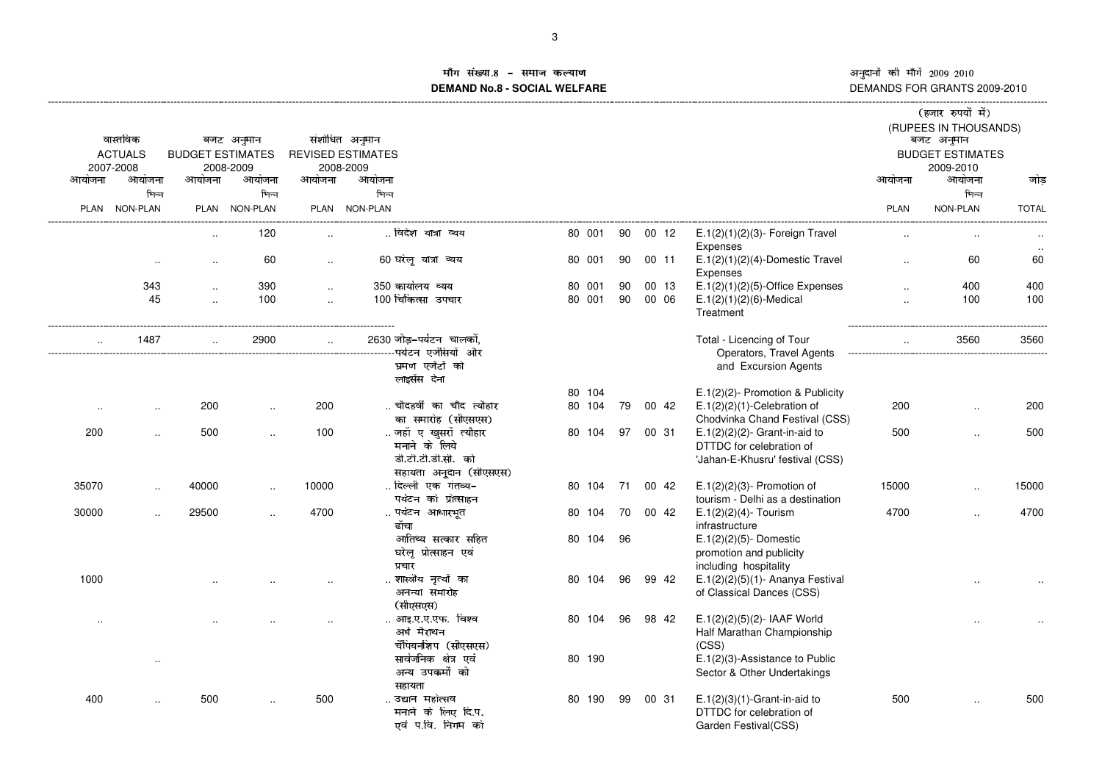ÕÖÓÖר <sup>Ù</sup>ÚÛÖÜÝר <sup>Þ</sup>ßßàá <sup>Þ</sup>ßâß DEMANDS FOR GRANTS 2009-2010

# Å संख्या ÊÌÍ ÇÃÄÎÏÐÄÑÊÄÒÓfÔ**DEMAND No.8 - SOCIAL WELFARE**

|                      |                |                         |                      |           |                                                    |        |    |       |                                                                  |                               | (हजार रुपयों में)                   |              |
|----------------------|----------------|-------------------------|----------------------|-----------|----------------------------------------------------|--------|----|-------|------------------------------------------------------------------|-------------------------------|-------------------------------------|--------------|
|                      | वास्तविक       |                         | बजट अनुमान           |           | संशोधित अनुमान                                     |        |    |       |                                                                  |                               | (RUPEES IN THOUSANDS)<br>बजट अनुमान |              |
|                      | <b>ACTUALS</b> | <b>BUDGET ESTIMATES</b> |                      |           | <b>REVISED ESTIMATES</b>                           |        |    |       |                                                                  |                               | <b>BUDGET ESTIMATES</b>             |              |
|                      | 2007-2008      |                         | 2008-2009            |           | 2008-2009                                          |        |    |       |                                                                  |                               | 2009-2010                           |              |
| आयोजना               | आयोजना         | आयोजना                  | आयोजना               | आयोजना    | आयोजना                                             |        |    |       |                                                                  | आयोजना                        | आयोजना                              | जोड          |
|                      | भिन्न          |                         | भिन्न                |           | भिन्न                                              |        |    |       |                                                                  |                               | भिन्न                               |              |
| PLAN                 | NON-PLAN       |                         | PLAN NON-PLAN        |           | PLAN NON-PLAN                                      |        |    |       |                                                                  | <b>PLAN</b>                   | NON-PLAN                            | <b>TOTAL</b> |
|                      |                |                         |                      |           |                                                    |        |    |       |                                                                  |                               |                                     |              |
|                      |                |                         | 120                  |           | विदेश यात्रा व्यय                                  | 80 001 | 90 | 00 12 | $E.1(2)(1)(2)(3)$ - Foreign Travel<br>Expenses                   |                               |                                     |              |
|                      | $\cdot$ .      | $\ddot{\phantom{a}}$    | 60                   | $\cdot$   | 60 घरेलू यात्रा व्यय                               | 80 001 | 90 | 00 11 | $E.1(2)(1)(2)(4)$ -Domestic Travel<br>Expenses                   | $\cdot$                       | 60                                  | 60           |
|                      | 343            | $\ddotsc$               | 390                  | $\sim$    | 350 कार्यालय व्यय                                  | 80 001 | 90 | 00 13 | $E.1(2)(1)(2)(5)$ -Office Expenses                               |                               | 400                                 | 400          |
|                      | 45             | $\ddotsc$               | 100                  | $\ddotsc$ | 100 चिकित्सा उपचार                                 | 80 001 | 90 | 00 06 | $E.1(2)(1)(2)(6)$ -Medical                                       | $\ddot{\phantom{a}}$          | 100                                 | 100          |
|                      |                |                         |                      |           |                                                    |        |    |       | Treatment                                                        |                               | ---------------                     |              |
|                      | 1487           |                         | 2900                 | $\sim$    | 2630 जोड-पर्यटन चालकों.<br>--पर्यटन एर्जेंसियों और |        |    |       | Total - Licencing of Tour<br>Operators, Travel Agents            | ----------------------------- | 3560                                | 3560         |
|                      |                |                         |                      |           | भ्रमण एजेंटों को                                   |        |    |       | and Excursion Agents                                             |                               |                                     |              |
|                      |                |                         |                      |           | लाइसेंस देना                                       |        |    |       |                                                                  |                               |                                     |              |
|                      |                |                         |                      |           |                                                    | 80 104 |    |       | $E.1(2)(2)$ - Promotion & Publicity                              |                               |                                     |              |
|                      | $\ddotsc$      | 200                     | $\ddot{\phantom{a}}$ | 200       | चौदहवीं का चाँद त्यौहार                            | 80 104 | 79 | 00 42 | $E.1(2)(2)(1)$ -Celebration of                                   | 200                           | $\ddot{\phantom{a}}$                | 200          |
| $\cdot$ .            |                |                         |                      |           | का समारोह (सीएसएस)                                 |        |    |       | Chodvinka Chand Festival (CSS)                                   |                               |                                     |              |
| 200                  |                | 500                     | $\ddotsc$            | 100       | जहाँ ए खुसरों त्यौहार                              | 80 104 | 97 | 00 31 | $E.1(2)(2)(2)$ - Grant-in-aid to                                 | 500                           | $\ddot{\phantom{a}}$                | 500          |
|                      | $\ddotsc$      |                         |                      |           | मनाने के लिये                                      |        |    |       | DTTDC for celebration of                                         |                               |                                     |              |
|                      |                |                         |                      |           | डी.टी.टी.डी.सी. को                                 |        |    |       | 'Jahan-E-Khusru' festival (CSS)                                  |                               |                                     |              |
|                      |                |                         |                      |           |                                                    |        |    |       |                                                                  |                               |                                     |              |
|                      |                |                         |                      |           | सहायता अनुूदान (सीएसएस)                            |        |    |       |                                                                  |                               |                                     |              |
| 35070                | $\ddotsc$      | 40000                   |                      | 10000     | दिल्ली एक गंतव्य-                                  | 80 104 | 71 | 00 42 | $E.1(2)(2)(3)$ - Promotion of                                    | 15000                         | $\ddot{\phantom{a}}$                | 15000        |
|                      |                |                         |                      |           | पर्यटन को प्रोत्साहन                               |        |    |       | tourism - Delhi as a destination                                 |                               |                                     |              |
| 30000                | $\ddotsc$      | 29500                   |                      | 4700      | पर्यटन आधारभूत                                     | 80 104 | 70 | 00 42 | $E.1(2)(2)(4)$ - Tourism                                         | 4700                          | $\ddotsc$                           | 4700         |
|                      |                |                         |                      |           | ढॉचा                                               |        |    |       | infrastructure                                                   |                               |                                     |              |
|                      |                |                         |                      |           | आतिथ्य सत्कार सहित                                 | 80 104 | 96 |       | $E.1(2)(2)(5)$ - Domestic                                        |                               |                                     |              |
|                      |                |                         |                      |           | घरेलू प्रोत्साहन एवं                               |        |    |       | promotion and publicity                                          |                               |                                     |              |
|                      |                |                         |                      |           | प्रचार                                             |        |    |       | including hospitality                                            |                               |                                     |              |
| 1000                 |                |                         |                      |           | शास्त्रीय नृत्यों का<br>अनन्या समारोह              | 80 104 | 96 | 99 42 | $E.1(2)(2)(5)(1)$ - Ananya Festival<br>of Classical Dances (CSS) |                               |                                     |              |
|                      |                |                         |                      |           | (सीएसएस)                                           |        |    |       |                                                                  |                               |                                     |              |
| $\ddot{\phantom{a}}$ |                |                         |                      |           | आइ.ए.ए.एफ. विश्व                                   | 80 104 | 96 | 98 42 | E.1(2)(2)(5)(2)- IAAF World                                      |                               |                                     |              |
|                      |                |                         |                      |           | अर्घ मैराथन                                        |        |    |       | Half Marathan Championship                                       |                               |                                     |              |
|                      |                |                         |                      |           | चैंपियनशिप (सीएसएस)                                |        |    |       | (CSS)                                                            |                               |                                     |              |
|                      |                |                         |                      |           | सार्वजनिक क्षेत्र एवं                              | 80 190 |    |       | E.1(2)(3)-Assistance to Public                                   |                               |                                     |              |
|                      |                |                         |                      |           | अन्य उपकमों को                                     |        |    |       | Sector & Other Undertakings                                      |                               |                                     |              |
|                      |                |                         |                      |           | सहायता                                             |        |    |       |                                                                  |                               |                                     |              |
| 400                  | $\cdot$        | 500                     |                      | 500       | उद्यान महोत्सव                                     | 80 190 | 99 | 00 31 | $E.1(2)(3)(1)$ -Grant-in-aid to                                  | 500                           | $\ddot{\phantom{a}}$                | 500          |
|                      |                |                         |                      |           | मनाने के लिए दि.प.                                 |        |    |       | DTTDC for celebration of                                         |                               |                                     |              |
|                      |                |                         |                      |           | एवं प.वि. निगम को                                  |        |    |       | Garden Festival(CSS)                                             |                               |                                     |              |
|                      |                |                         |                      |           |                                                    |        |    |       |                                                                  |                               |                                     |              |
|                      |                |                         |                      |           |                                                    |        |    |       |                                                                  |                               |                                     |              |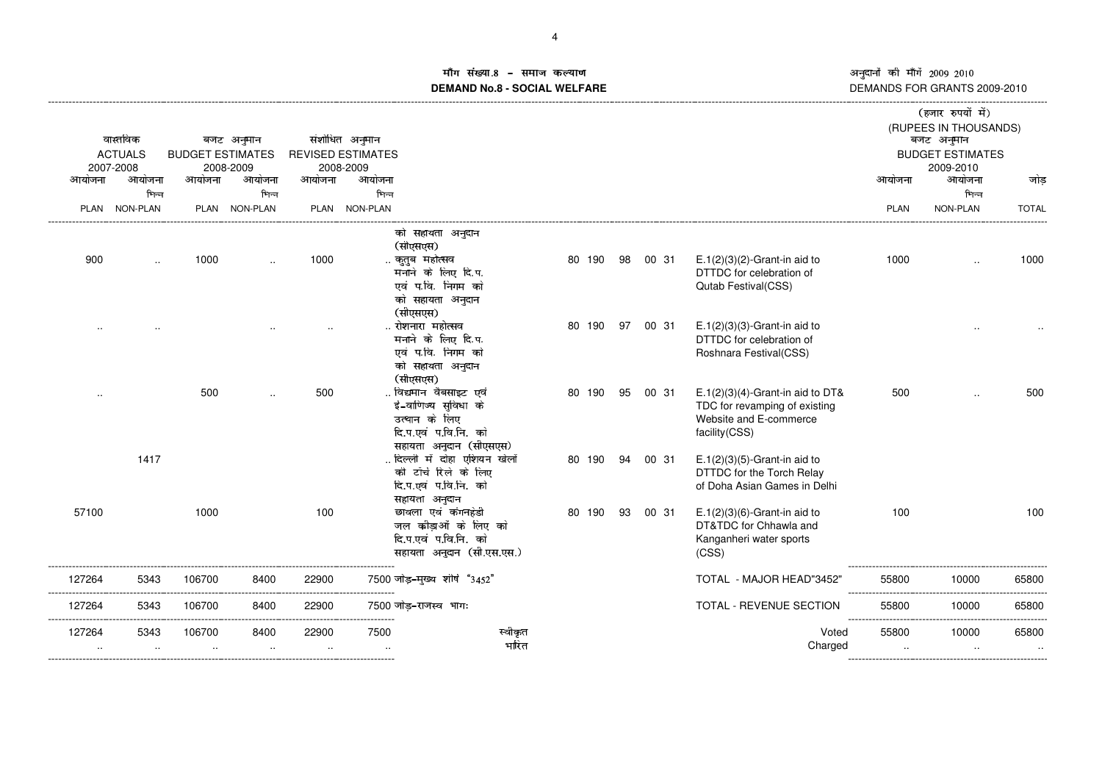**Sales State** 

## माँग संख्या. ™। सख्या.8 − समाज कल्याण<br>DEMAND No.8 - SOCIAL WELFARE DE

|                     | वास्तविक<br><b>ACTUALS</b>   | <b>BUDGET ESTIMATES</b> | बजट अनुमान                   |                 | संशोधित अनुमान<br><b>REVISED ESTIMATES</b> |                                                                                                                |        |    |       |                                                                                                                 |                              | (हजार रुपयों में)<br>(RUPEES IN THOUSANDS)<br>बजट अनुमान<br><b>BUDGET ESTIMATES</b> |                    |
|---------------------|------------------------------|-------------------------|------------------------------|-----------------|--------------------------------------------|----------------------------------------------------------------------------------------------------------------|--------|----|-------|-----------------------------------------------------------------------------------------------------------------|------------------------------|-------------------------------------------------------------------------------------|--------------------|
| आयोजना              | 2007-2008<br>आयोजना<br>भिन्न | आयोजना                  | 2008-2009<br>आयोजना<br>भिन्न | आयोजना          | 2008-2009<br>आयोजना<br>भिन्न               |                                                                                                                |        |    |       |                                                                                                                 | आयोजना                       | 2009-2010<br>आयोजना<br>भिन्न                                                        | जोड़               |
|                     | PLAN NON-PLAN                |                         | PLAN NON-PLAN                |                 | PLAN NON-PLAN                              |                                                                                                                |        |    |       |                                                                                                                 | <b>PLAN</b>                  | NON-PLAN                                                                            | <b>TOTAL</b>       |
|                     |                              |                         |                              |                 |                                            | को सहायता अनुदान<br>(सीएसएस)                                                                                   |        |    |       |                                                                                                                 |                              |                                                                                     |                    |
| 900                 | $\cdot$ .                    | 1000                    | $\ddot{\phantom{a}}$         | 1000            |                                            | कुतुब महोत्सव<br>मनाने के लिए दि.प.<br>एवं प.वि. निगम को<br>को सहायता अनुदान<br>(सीएसएस)                       | 80 190 | 98 | 00 31 | $E.1(2)(3)(2)$ -Grant-in aid to<br>DTTDC for celebration of<br><b>Qutab Festival(CSS)</b>                       | 1000                         | $\cdot$                                                                             | 1000               |
|                     |                              |                         |                              |                 |                                            | रोशनारा महोत्सव<br>मनाने के लिए दि.प.<br>एवं प.वि. निगम को<br>को सहायता अनुदान<br>(सीएसएस)                     | 80 190 | 97 | 00 31 | $E.1(2)(3)(3)$ -Grant-in aid to<br>DTTDC for celebration of<br>Roshnara Festival(CSS)                           |                              |                                                                                     |                    |
|                     |                              | 500                     |                              | 500             |                                            | विद्यमान वैबसाइट एवं<br>ई-वाणिज्य सुविधा के<br>उत्थान के लिए<br>दि.प.एवं प.वि.नि. को<br>सहायता अनुदान (सीएसएस) | 80 190 | 95 | 00 31 | $E.1(2)(3)(4)$ -Grant-in aid to DT&<br>TDC for revamping of existing<br>Website and E-commerce<br>facility(CSS) | 500                          | $\cdot$                                                                             | 500                |
|                     | 1417                         |                         |                              |                 |                                            | . दिल्ली में दोहा एशियन खेलों<br>की टॉर्च रिले के लिए<br>दि.प.एवं प.वि.नि. को<br>सहायता अनुदान                 | 80 190 | 94 | 00 31 | $E.1(2)(3)(5)$ -Grant-in aid to<br>DTTDC for the Torch Relay<br>of Doha Asian Games in Delhi                    |                              |                                                                                     |                    |
| 57100               |                              | 1000                    |                              | 100             |                                            | छावला एवं कंगनहेडी<br>जल कौड़ाओं के लिए को<br>दि.प.एवं प.वि.नि. को<br>सहायता अनुदान (सी.एस.एस.)                | 80 190 | 93 | 00 31 | $E.1(2)(3)(6)$ -Grant-in aid to<br>DT&TDC for Chhawla and<br>Kanganheri water sports<br>(CSS)                   | 100                          |                                                                                     | 100                |
| 127264              | 5343                         | 106700                  | 8400                         | 22900           |                                            | 7500 जोड़-मुख्य शीर्ष "3452"                                                                                   |        |    |       | TOTAL - MAJOR HEAD"3452"                                                                                        | 55800                        | 10000<br>.                                                                          | 65800              |
| 127264              | 5343                         | 106700                  | 8400                         | 22900           | .                                          | 7500 जोड़-राजस्व भागः                                                                                          |        |    |       | TOTAL - REVENUE SECTION                                                                                         | --------<br>55800<br>------- | 10000                                                                               | 65800              |
| 127264<br>$\cdot$ . | 5343<br>$\sim$               | 106700<br>$\cdot$ .     | 8400<br>$\sim$               | 22900<br>$\sim$ | 7500<br>$\sim$ $\sim$                      | स्वीकृत<br>भारित                                                                                               |        |    |       | Voted<br>Charged                                                                                                | 55800<br>$\cdot$ .           | 10000<br>$\cdot$ .                                                                  | 65800<br>$\ddotsc$ |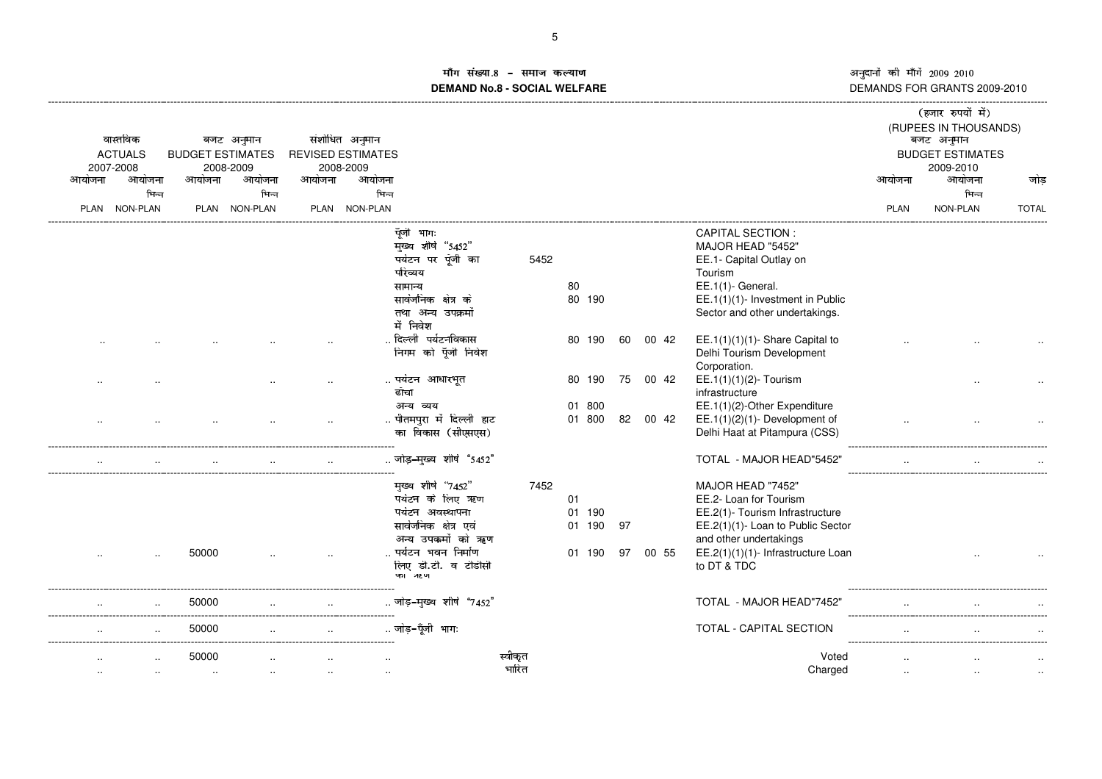^\_`QabcdQRSRSeV

### ाँग संख्या EGH B>?IJK?LE?MN!O**DEMAND No.8 - SOCIAL WELFARE**

|        |                |                         |               |        |                          |                           |         |        |    |       |                                    |             | (हजार रुपया म)                      |              |
|--------|----------------|-------------------------|---------------|--------|--------------------------|---------------------------|---------|--------|----|-------|------------------------------------|-------------|-------------------------------------|--------------|
|        | वास्तविक       |                         | बजट अनुमान    |        | संशोधित अनुमान           |                           |         |        |    |       |                                    |             | (RUPEES IN THOUSANDS)<br>बजट अनुमान |              |
|        | <b>ACTUALS</b> | <b>BUDGET ESTIMATES</b> |               |        | <b>REVISED ESTIMATES</b> |                           |         |        |    |       |                                    |             | <b>BUDGET ESTIMATES</b>             |              |
|        | 2007-2008      |                         | 2008-2009     |        | 2008-2009                |                           |         |        |    |       |                                    |             | 2009-2010                           |              |
| आयोजना | आयोजना         | आयोजना                  | आयोजना        | आयोजना | आयोजना                   |                           |         |        |    |       |                                    | आयोजना      | आयोजना                              | जोड़         |
|        | भिन्न          |                         | भिन्न         |        | भिन्न                    |                           |         |        |    |       |                                    |             | भिन्न                               |              |
|        | PLAN NON-PLAN  |                         | PLAN NON-PLAN |        | PLAN NON-PLAN            |                           |         |        |    |       |                                    | <b>PLAN</b> | NON-PLAN                            | <b>TOTAL</b> |
|        |                |                         |               |        |                          | पूँजी भागः                |         |        |    |       | <b>CAPITAL SECTION:</b>            |             |                                     |              |
|        |                |                         |               |        |                          | मुख्य शीर्ष "5452"        |         |        |    |       | MAJOR HEAD "5452"                  |             |                                     |              |
|        |                |                         |               |        |                          | पर्यटन पर पूँजी का        | 5452    |        |    |       | EE.1- Capital Outlay on            |             |                                     |              |
|        |                |                         |               |        |                          | परिव्यय                   |         |        |    |       | Tourism                            |             |                                     |              |
|        |                |                         |               |        |                          | सामान्य                   |         | 80     |    |       | EE.1(1)- General.                  |             |                                     |              |
|        |                |                         |               |        |                          | सार्वजनिक क्षेत्र के      |         | 80 190 |    |       | EE.1(1)(1)- Investment in Public   |             |                                     |              |
|        |                |                         |               |        |                          | तथा अन्य उपक्रमों         |         |        |    |       | Sector and other undertakings.     |             |                                     |              |
|        |                |                         |               |        |                          | में निवेश                 |         |        |    |       |                                    |             |                                     |              |
|        |                |                         |               |        |                          | दिल्ली  पर्यटनविकास       |         | 80 190 | 60 | 00 42 | EE.1(1)(1)(1)- Share Capital to    |             |                                     |              |
|        |                |                         |               |        |                          | निगम को पूँजी निवेश       |         |        |    |       | Delhi Tourism Development          |             |                                     |              |
|        |                |                         |               |        |                          |                           |         |        |    |       | Corporation.                       |             |                                     |              |
|        |                |                         |               |        |                          | पर्यटन आधारभूत            |         | 80 190 | 75 | 00 42 | EE.1(1)(1)(2)- Tourism             |             |                                     |              |
|        |                |                         |               |        |                          | ढॉचा                      |         |        |    |       | infrastructure                     |             |                                     |              |
|        |                |                         |               |        |                          | अन्य व्यय                 |         | 01 800 |    |       | EE.1(1)(2)-Other Expenditure       |             |                                     |              |
|        |                |                         |               |        |                          | पीतमपुरा में दिल्ली हाट   |         | 01 800 | 82 | 00 42 | EE.1(1) $(2)(1)$ - Development of  |             |                                     |              |
|        |                |                         |               |        |                          | का विकास (सीएसएस)         |         |        |    |       | Delhi Haat at Pitampura (CSS)      |             |                                     |              |
|        |                |                         |               |        |                          |                           |         |        |    |       |                                    |             |                                     |              |
|        |                |                         |               |        |                          | जोड़-मुख्य शीर्ष "5452"   |         |        |    |       | TOTAL - MAJOR HEAD"5452'           |             |                                     |              |
|        |                |                         |               |        |                          | मुख्य शीर्ष "7452"        | 7452    |        |    |       | MAJOR HEAD "7452"                  |             |                                     |              |
|        |                |                         |               |        |                          | पर्यटन के लिए ऋण          |         | 01     |    |       | EE.2- Loan for Tourism             |             |                                     |              |
|        |                |                         |               |        |                          | पर्यटन अवस्थापना          |         | 01 190 |    |       | EE.2(1)- Tourism Infrastructure    |             |                                     |              |
|        |                |                         |               |        |                          | सार्वजनिक क्षेत्र एवं     |         | 01 190 | 97 |       | EE.2(1)(1)- Loan to Public Sector  |             |                                     |              |
|        |                |                         |               |        |                          | अन्य उपकर्मों को ऋण       |         |        |    |       | and other undertakings             |             |                                     |              |
|        |                | 50000                   |               |        |                          | पर्यटन भवन निर्माण        |         | 01 190 | 97 | 00 55 | EE.2(1)(1)(1)- Infrastructure Loan |             |                                     |              |
|        |                |                         |               |        |                          | लिए डी.टी. व टीडीसी       |         |        |    |       | to DT & TDC                        |             |                                     |              |
|        |                |                         |               |        |                          | વરા ૠા                    |         |        |    |       |                                    |             |                                     |              |
|        |                |                         |               |        |                          |                           |         |        |    |       |                                    |             |                                     |              |
|        |                | 50000                   |               |        |                          | . जोड़-मुख्य शीर्ष "7452" |         |        |    |       | TOTAL - MAJOR HEAD"7452"           |             |                                     |              |
|        |                | 50000                   |               |        |                          | जोड़-पूँजी भागः           |         |        |    |       | TOTAL - CAPITAL SECTION            |             |                                     |              |
|        |                |                         |               |        |                          |                           |         |        |    |       |                                    |             |                                     |              |
|        |                | 50000                   |               |        |                          |                           | स्वीकृत |        |    |       | Voted                              |             |                                     |              |
|        |                | $\ddotsc$               |               |        |                          |                           | भारित   |        |    |       | Charged                            |             |                                     |              |
|        |                |                         |               |        |                          |                           |         |        |    |       |                                    |             |                                     |              |